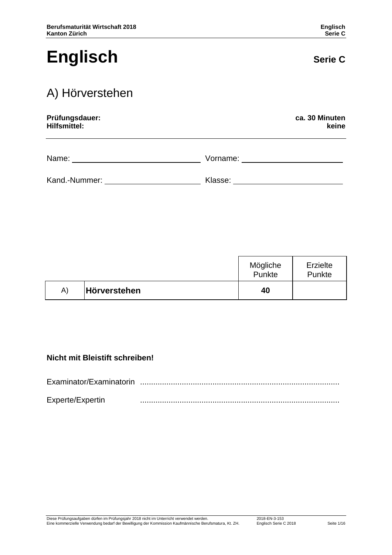# **Englisch** Serie C

## A) Hörverstehen

| Prüfungsdauer: | ca. 30 Minuten |
|----------------|----------------|
| Hilfsmittel:   | keine          |
|                |                |

Name: Name: Name: Name: Normane: Normane: Normane: Name: Normane: Name: Normane: Name: Name: Name: Name: Name: Name: Name: Name: Name: Name: Name: Name: Name: Name: Name: Name: Name: Name: Name: Name: Name: Name: Name: Nam

| Kand.-Nummer: | Klasse: |  |
|---------------|---------|--|
|               |         |  |

|    |              | Mögliche<br>Punkte | Erzielte<br>Punkte |
|----|--------------|--------------------|--------------------|
| A) | Hörverstehen | 40                 |                    |

#### **Nicht mit Bleistift schreiben!**

Examinator/Examinatorin ........................................................................................... Experte/Expertin ...........................................................................................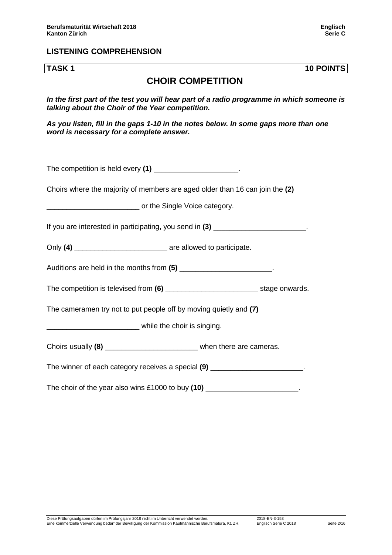#### **LISTENING COMPREHENSION**

**TASK 1 10 POINTS**

### **CHOIR COMPETITION**

*In the first part of the test you will hear part of a radio programme in which someone is talking about the Choir of the Year competition.*

*As you listen, fill in the gaps 1-10 in the notes below. In some gaps more than one word is necessary for a complete answer.*

The competition is held every **(1)** \_\_\_\_\_\_\_\_\_\_\_\_\_\_\_\_\_\_\_\_\_. Choirs where the majority of members are aged older than 16 can join the **(2)** or the Single Voice category. If you are interested in participating, you send in **(3)** \_\_\_\_\_\_\_\_\_\_\_\_\_\_\_\_\_\_\_\_\_\_\_. Only (4) **Denote Allowed** to participate. Auditions are held in the months from **(5)** \_\_\_\_\_\_\_\_\_\_\_\_\_\_\_\_\_\_\_\_\_\_\_. The competition is televised from **(6)** \_\_\_\_\_\_\_\_\_\_\_\_\_\_\_\_\_\_\_\_\_\_\_ stage onwards. The cameramen try not to put people off by moving quietly and **(7)** while the choir is singing. Choirs usually (8) \_\_\_\_\_\_\_\_\_\_\_\_\_\_\_\_\_\_\_\_\_\_\_\_\_\_\_\_\_\_\_\_\_ when there are cameras. The winner of each category receives a special (9) \_\_\_\_\_\_\_\_\_\_\_\_\_\_\_\_\_\_\_\_\_\_\_\_\_\_\_\_.

The choir of the year also wins £1000 to buy (10)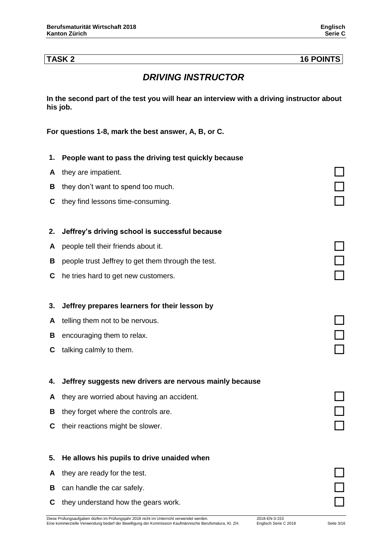### **TASK 2 16 POINTS**

## *DRIVING INSTRUCTOR*

**In the second part of the test you will hear an interview with a driving instructor about his job.**

**For questions 1-8, mark the best answer, A, B, or C.** 

| 1. | People want to pass the driving test quickly because    |  |
|----|---------------------------------------------------------|--|
| A  | they are impatient.                                     |  |
| В  | they don't want to spend too much.                      |  |
| C  | they find lessons time-consuming.                       |  |
|    |                                                         |  |
| 2. | Jeffrey's driving school is successful because          |  |
| Α  | people tell their friends about it.                     |  |
| в  | people trust Jeffrey to get them through the test.      |  |
| C. | he tries hard to get new customers.                     |  |
|    |                                                         |  |
| 3. | Jeffrey prepares learners for their lesson by           |  |
| A  | telling them not to be nervous.                         |  |
| в  | encouraging them to relax.                              |  |
| C. | talking calmly to them.                                 |  |
|    |                                                         |  |
| 4. | Jeffrey suggests new drivers are nervous mainly because |  |
| A  | they are worried about having an accident.              |  |
| в  | they forget where the controls are.                     |  |
| C. | their reactions might be slower.                        |  |
|    |                                                         |  |
| 5. | He allows his pupils to drive unaided when              |  |
| A  | they are ready for the test.                            |  |
| В  | can handle the car safely.                              |  |
|    |                                                         |  |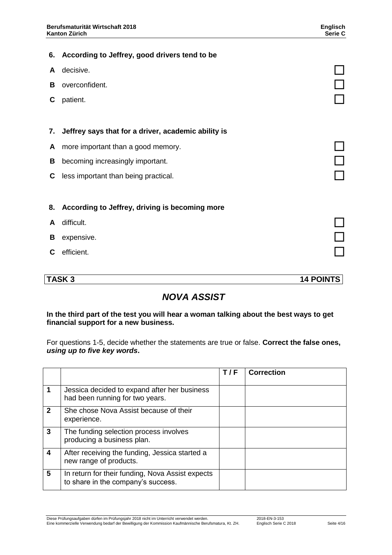| 6. | According to Jeffrey, good drivers tend to be       |                  |
|----|-----------------------------------------------------|------------------|
| A  | decisive.                                           |                  |
| B  | overconfident.                                      |                  |
| C  | patient.                                            |                  |
|    |                                                     |                  |
| 7. | Jeffrey says that for a driver, academic ability is |                  |
| A  | more important than a good memory.                  |                  |
| В  | becoming increasingly important.                    |                  |
| C  | less important than being practical.                |                  |
|    |                                                     |                  |
| 8. | According to Jeffrey, driving is becoming more      |                  |
| A  | difficult.                                          |                  |
| В  | expensive.                                          |                  |
| C  | efficient.                                          |                  |
|    |                                                     |                  |
|    | TASK <sub>3</sub>                                   | <b>14 POINTS</b> |

## *NOVA ASSIST*

**In the third part of the test you will hear a woman talking about the best ways to get financial support for a new business.**

For questions 1-5, decide whether the statements are true or false. **Correct the false ones,**  *using up to five key words***.** 

|              |                                                                                        | T/F | <b>Correction</b> |
|--------------|----------------------------------------------------------------------------------------|-----|-------------------|
|              | Jessica decided to expand after her business<br>had been running for two years.        |     |                   |
| $\mathbf{2}$ | She chose Nova Assist because of their<br>experience.                                  |     |                   |
| 3            | The funding selection process involves<br>producing a business plan.                   |     |                   |
| 4            | After receiving the funding, Jessica started a<br>new range of products.               |     |                   |
| 5            | In return for their funding, Nova Assist expects<br>to share in the company's success. |     |                   |

Diese Prüfungsaufgaben dürfen im Prüfungsjahr 2018 nicht im Unterricht verwendet werden. 2018-EN-3-153 Eine kommerzielle Verwendung bedarf der Bewilligung der Kommission Kaufmännische Berufsmatura, Kt. ZH. Englisch Serie C 2018 Seite 4/16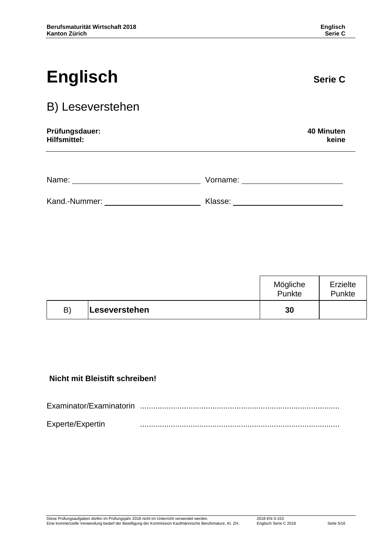# **Englisch Serie C**

# B) Leseverstehen

| Prüfungsdauer: | 40 Minuten |
|----------------|------------|
| Hilfsmittel:   | keine      |
|                |            |

| Name:         | Vorname: |
|---------------|----------|
| Kand.-Nummer: | Klasse:  |

|    |                      | Mögliche<br>Punkte | Erzielte<br>Punkte |
|----|----------------------|--------------------|--------------------|
| B) | <b>Leseverstehen</b> | 30                 |                    |

### **Nicht mit Bleistift schreiben!**

| Examinator/Examinatorin |  |
|-------------------------|--|
| Experte/Expertin        |  |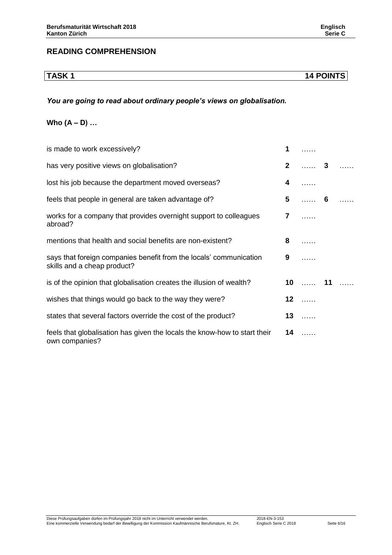**TASK 1 14 POINTS**

#### *You are going to read about ordinary people's views on globalisation.*

#### **Who (A – D) …**

| is made to work excessively?                                                                      | 1            |         |   |  |
|---------------------------------------------------------------------------------------------------|--------------|---------|---|--|
| has very positive views on globalisation?                                                         | $\mathbf{2}$ | 1.1.1.1 | 3 |  |
| lost his job because the department moved overseas?                                               | 4            |         |   |  |
| feels that people in general are taken advantage of?                                              | 5            |         | 6 |  |
| works for a company that provides overnight support to colleagues<br>abroad?                      | 7            |         |   |  |
| mentions that health and social benefits are non-existent?                                        | 8            |         |   |  |
| says that foreign companies benefit from the locals' communication<br>skills and a cheap product? | 9            |         |   |  |
| is of the opinion that globalisation creates the illusion of wealth?                              |              | 10  11  |   |  |
| wishes that things would go back to the way they were?                                            | $12 \,$      |         |   |  |
| states that several factors override the cost of the product?                                     | 13           |         |   |  |
| feels that globalisation has given the locals the know-how to start their<br>own companies?       | 14           |         |   |  |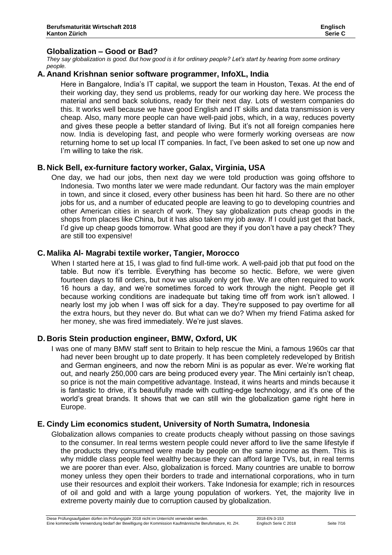#### **Globalization – Good or Bad?**

*They say globalization is good. But how good is it for ordinary people? Let's start by hearing from some ordinary people.*

#### **A. Anand Krishnan senior software programmer, InfoXL, India**

Here in Bangalore, India's IT capital, we support the team in Houston, Texas. At the end of their working day, they send us problems, ready for our working day here. We process the material and send back solutions, ready for their next day. Lots of western companies do this. It works well because we have good English and IT skills and data transmission is very cheap. Also, many more people can have well-paid jobs, which, in a way, reduces poverty and gives these people a better standard of living. But it's not all foreign companies here now. India is developing fast, and people who were formerly working overseas are now returning home to set up local IT companies. In fact, I've been asked to set one up now and I'm willing to take the risk.

#### **B. Nick Bell, ex-furniture factory worker, Galax, Virginia, USA**

One day, we had our jobs, then next day we were told production was going offshore to Indonesia. Two months later we were made redundant. Our factory was the main employer in town, and since it closed, every other business has been hit hard. So there are no other jobs for us, and a number of educated people are leaving to go to developing countries and other American cities in search of work. They say globalization puts cheap goods in the shops from places like China, but it has also taken my job away. If I could just get that back, I'd give up cheap goods tomorrow. What good are they if you don't have a pay check? They are still too expensive!

#### **C. Malika Al- Magrabi textile worker, Tangier, Morocco**

When I started here at 15, I was glad to find full-time work. A well-paid job that put food on the table. But now it's terrible. Everything has become so hectic. Before, we were given fourteen days to fill orders, but now we usually only get five. We are often required to work 16 hours a day, and we're sometimes forced to work through the night. People get ill because working conditions are inadequate but taking time off from work isn't allowed. I nearly lost my job when I was off sick for a day. They're supposed to pay overtime for all the extra hours, but they never do. But what can we do? When my friend Fatima asked for her money, she was fired immediately. We're just slaves.

#### **D. Boris Stein production engineer, BMW, Oxford, UK**

I was one of many BMW staff sent to Britain to help rescue the Mini, a famous 1960s car that had never been brought up to date properly. It has been completely redeveloped by British and German engineers, and now the reborn Mini is as popular as ever. We're working flat out, and nearly 250,000 cars are being produced every year. The Mini certainly isn't cheap, so price is not the main competitive advantage. Instead, it wins hearts and minds because it is fantastic to drive, it's beautifully made with cutting-edge technology, and it's one of the world's great brands. It shows that we can still win the globalization game right here in Europe.

#### **E. Cindy Lim economics student, University of North Sumatra, Indonesia**

Globalization allows companies to create products cheaply without passing on those savings to the consumer. In real terms western people could never afford to live the same lifestyle if the products they consumed were made by people on the same income as them. This is why middle class people feel wealthy because they can afford large TVs, but, in real terms we are poorer than ever. Also, globalization is forced. Many countries are unable to borrow money unless they open their borders to trade and international corporations, who in turn use their resources and exploit their workers. Take Indonesia for example; rich in resources of oil and gold and with a large young population of workers. Yet, the majority live in extreme poverty mainly due to corruption caused by globalization.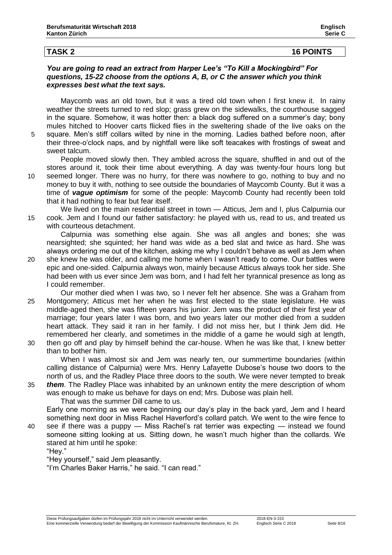#### **TASK 2 16 POINTS**

#### *You are going to read an extract from Harper Lee's "To Kill a Mockingbird" For questions, 15-22 choose from the options A, B, or C the answer which you think expresses best what the text says.*

Maycomb was an old town, but it was a tired old town when I first knew it. In rainy weather the streets turned to red slop; grass grew on the sidewalks, the courthouse sagged in the square. Somehow, it was hotter then: a black dog suffered on a summer's day; bony mules hitched to Hoover carts flicked flies in the sweltering shade of the live oaks on the

5 square. Men's stiff collars wilted by nine in the morning. Ladies bathed before noon, after their three-o'clock naps, and by nightfall were like soft teacakes with frostings of sweat and sweet talcum.

People moved slowly then. They ambled across the square, shuffled in and out of the stores around it, took their time about everything. A day was twenty-four hours long but

- 10 seemed longer. There was no hurry, for there was nowhere to go, nothing to buy and no money to buy it with, nothing to see outside the boundaries of Maycomb County. But it was a time of *vague optimism* for some of the people: Maycomb County had recently been told that it had nothing to fear but fear itself.
- We lived on the main residential street in town Atticus, Jem and I, plus Calpurnia our 15 cook. Jem and I found our father satisfactory: he played with us, read to us, and treated us with courteous detachment.

Calpurnia was something else again. She was all angles and bones; she was nearsighted; she squinted; her hand was wide as a bed slat and twice as hard. She was always ordering me out of the kitchen, asking me why I couldn't behave as well as Jem when

- 20 she knew he was older, and calling me home when I wasn't ready to come. Our battles were epic and one-sided. Calpurnia always won, mainly because Atticus always took her side. She had been with us ever since Jem was born, and I had felt her tyrannical presence as long as I could remember.
- Our mother died when I was two, so I never felt her absence. She was a Graham from 25 Montgomery; Atticus met her when he was first elected to the state legislature. He was middle-aged then, she was fifteen years his junior. Jem was the product of their first year of marriage; four years later I was born, and two years later our mother died from a sudden heart attack. They said it ran in her family. I did not miss her, but I think Jem did. He remembered her clearly, and sometimes in the middle of a game he would sigh at length,
- 30 then go off and play by himself behind the car-house. When he was like that, I knew better than to bother him.

When I was almost six and Jem was nearly ten, our summertime boundaries (within calling distance of Calpurnia) were Mrs. Henry Lafayette Dubose's house two doors to the north of us, and the Radley Place three doors to the south. We were never tempted to break

35 *them*. The Radley Place was inhabited by an unknown entity the mere description of whom was enough to make us behave for days on end; Mrs. Dubose was plain hell.

That was the summer Dill came to us.

Early one morning as we were beginning our day's play in the back yard, Jem and I heard something next door in Miss Rachel Haverford's collard patch. We went to the wire fence to

40 see if there was a puppy — Miss Rachel's rat terrier was expecting — instead we found someone sitting looking at us. Sitting down, he wasn't much higher than the collards. We stared at him until he spoke: "Hey."

"Hey yourself," said Jem pleasantly.

"I'm Charles Baker Harris," he said. "I can read."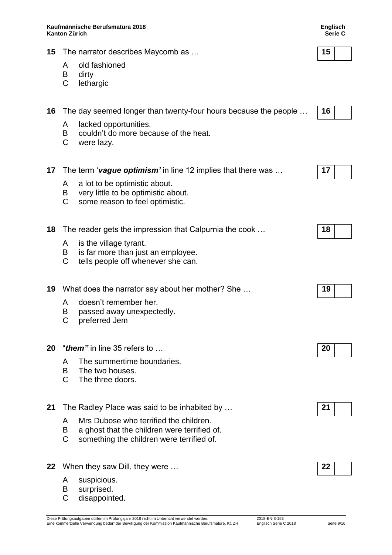|    | Kanton Zürich |                                                                                                                                     | Serie C |  |
|----|---------------|-------------------------------------------------------------------------------------------------------------------------------------|---------|--|
| 15 |               | The narrator describes Maycomb as                                                                                                   | 15      |  |
|    | A<br>B<br>C   | old fashioned<br>dirty<br>lethargic                                                                                                 |         |  |
| 16 |               | The day seemed longer than twenty-four hours because the people                                                                     | 16      |  |
|    | A<br>B<br>C   | lacked opportunities.<br>couldn't do more because of the heat.<br>were lazy.                                                        |         |  |
| 17 |               | The term ' <b>vague optimism'</b> in line 12 implies that there was                                                                 | 17      |  |
|    | A<br>B<br>С   | a lot to be optimistic about.<br>very little to be optimistic about.<br>some reason to feel optimistic.                             |         |  |
| 18 |               | The reader gets the impression that Calpurnia the cook                                                                              | 18      |  |
|    | A<br>B<br>C   | is the village tyrant.<br>is far more than just an employee.<br>tells people off whenever she can.                                  |         |  |
| 19 |               | What does the narrator say about her mother? She                                                                                    | 19      |  |
|    | A<br>B<br>С   | doesn't remember her.<br>passed away unexpectedly.<br>preferred Jem                                                                 |         |  |
| 20 |               | " <i>them"</i> in line 35 refers to                                                                                                 | 20      |  |
|    | A<br>B<br>C   | The summertime boundaries.<br>The two houses.<br>The three doors.                                                                   |         |  |
| 21 |               | The Radley Place was said to be inhabited by                                                                                        | 21      |  |
|    | A<br>B<br>С   | Mrs Dubose who terrified the children.<br>a ghost that the children were terrified of.<br>something the children were terrified of. |         |  |
| 22 |               | When they saw Dill, they were                                                                                                       | 22      |  |
|    | A<br>B        | suspicious.<br>surprised.                                                                                                           |         |  |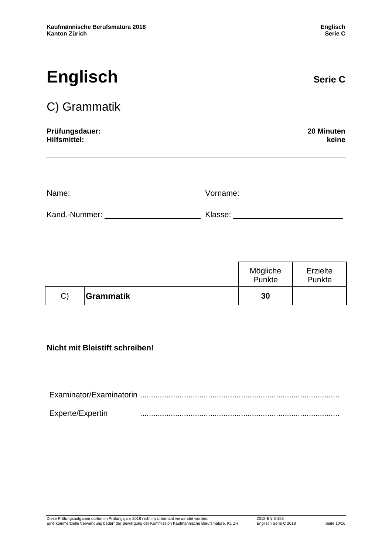| <b>Englisch</b>                       |         | <b>Serie C</b>      |
|---------------------------------------|---------|---------------------|
| C) Grammatik                          |         |                     |
| Prüfungsdauer:<br><b>Hilfsmittel:</b> |         | 20 Minuten<br>keine |
|                                       |         |                     |
|                                       |         |                     |
| Kand.-Nummer:                         | Klasse: |                     |

|    |                  | Mögliche<br>Punkte | Erzielte<br>Punkte |
|----|------------------|--------------------|--------------------|
| C) | <b>Grammatik</b> | 30                 |                    |

### **Nicht mit Bleistift schreiben!**

| Experte/Expertin |  |
|------------------|--|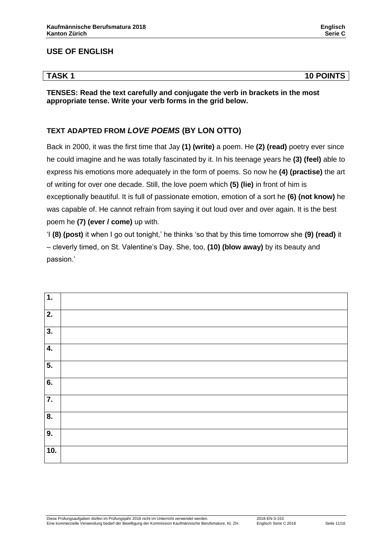#### **USE OF ENGLISH**

| <b>TASK</b> | <b>10 POINTS</b> |
|-------------|------------------|

**TENSES: Read the text carefully and conjugate the verb in brackets in the most appropriate tense. Write your verb forms in the grid below.**

### **TEXT ADAPTED FROM** *LOVE POEMS* **(BY LON OTTO)**

Back in 2000, it was the first time that Jay **(1) (write)** a poem. He **(2) (read)** poetry ever since he could imagine and he was totally fascinated by it. In his teenage years he **(3) (feel)** able to express his emotions more adequately in the form of poems. So now he **(4) (practise)** the art of writing for over one decade. Still, the love poem which **(5) (lie)** in front of him is exceptionally beautiful. It is full of passionate emotion, emotion of a sort he **(6) (not know)** he was capable of. He cannot refrain from saying it out loud over and over again. It is the best poem he **(7) (ever / come)** up with.

'I **(8) (post)** it when I go out tonight,' he thinks 'so that by this time tomorrow she **(9) (read)** it – cleverly timed, on St. Valentine's Day. She, too, **(10) (blow away)** by its beauty and passion.'

| $\overline{1}$ . |  |
|------------------|--|
| $\overline{2}$ . |  |
| $\overline{3}$ . |  |
| $\overline{4}$   |  |
| $\overline{5}$ . |  |
| 6.               |  |
| $\overline{7}$ . |  |
| $\overline{8}$ . |  |
| 9.               |  |
| 10.              |  |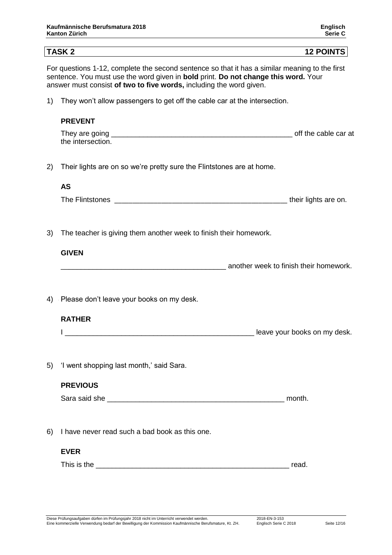# **TASK 2 12 POINTS** For questions 1-12, complete the second sentence so that it has a similar meaning to the first sentence. You must use the word given in **bold** print. **Do not change this word.** Your answer must consist **of two to five words,** including the word given. 1) 1They won't allow passengers to get off the cable car at the intersection. **PREVENT** They are going \_\_\_\_\_\_\_\_\_\_\_\_\_\_\_\_\_\_\_\_\_\_\_\_\_\_\_\_\_\_\_\_\_\_\_\_\_\_\_\_\_\_\_\_\_ off the cable car at the intersection. 2) Their lights are on so we're pretty sure the Flintstones are at home. **AS** The Flintstones **Exercise Exercise Exercise 2** their lights are on. 3) 3The teacher is giving them another week to finish their homework. **GIVEN** \_\_\_\_\_\_\_\_\_\_\_\_\_\_\_\_\_\_\_\_\_\_\_\_\_\_\_\_\_\_\_\_\_\_\_\_\_\_\_\_\_ another week to finish their homework. 4) Please don't leave your books on my desk. **RATHER** I can be also assumed to the leave your books on my desk. 5) I went shopping last month,' said Sara. **PREVIOUS** Sara said she \_\_\_\_\_\_\_\_\_\_\_\_\_\_\_\_\_\_\_\_\_\_\_\_\_\_\_\_\_\_\_\_\_\_\_\_\_\_\_\_\_\_\_\_ month. 6) I have never read such a bad book as this one. **EVER** This is the \_\_\_\_\_\_\_\_\_\_\_\_\_\_\_\_\_\_\_\_\_\_\_\_\_\_\_\_\_\_\_\_\_\_\_\_\_\_\_\_\_\_\_\_\_\_\_\_ read.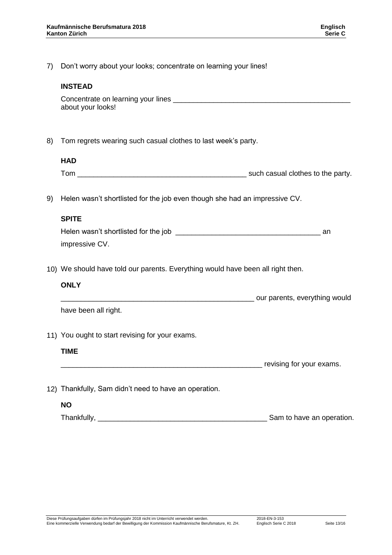7) Don't worry about your looks; concentrate on learning your lines!

#### **INSTEAD**

Concentrate on learning your lines about your looks!

8) Tom regrets wearing such casual clothes to last week's party.

#### **HAD**

Tom **The Eure of the Contract Contract Contract Contract Contract Contract Contract Contract Contract Contract Contract Contract Contract Contract Contract Contract Contract Contract Contract Contract Contract Contract Con** 

9) Helen wasn't shortlisted for the job even though she had an impressive CV.

#### **SPITE**

| Helen wasn't shortlisted for the job |  |
|--------------------------------------|--|
| impressive CV.                       |  |

10) We should have told our parents. Everything would have been all right then.

#### **ONLY**

| our parents, everything would |
|-------------------------------|
|                               |

have been all right.

11) You ought to start revising for your exams.

#### **TIME**

revising for your exams.

12) Thankfully, Sam didn't need to have an operation.

**NO** Thankfully, Thankfully, Thankfully, Thankfully, Thankfully, Thankfully, Thankfully, Thankfully, Thankfully, Thankfully, Thankfully, Thankfully, Thankfully, Thankfully, Thankfully, Thankfully, Thankfully, Thankfully, Thankf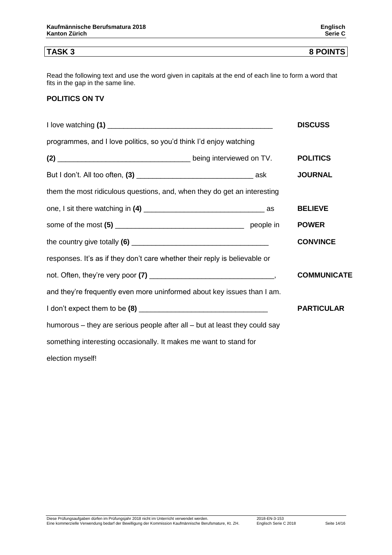### **TASK 3 8 POINTS**

Read the following text and use the word given in capitals at the end of each line to form a word that fits in the gap in the same line.

#### **POLITICS ON TV**

|                                                                            | <b>DISCUSS</b>     |
|----------------------------------------------------------------------------|--------------------|
| programmes, and I love politics, so you'd think I'd enjoy watching         |                    |
|                                                                            | <b>POLITICS</b>    |
|                                                                            | <b>JOURNAL</b>     |
| them the most ridiculous questions, and, when they do get an interesting   |                    |
|                                                                            | <b>BELIEVE</b>     |
|                                                                            | <b>POWER</b>       |
|                                                                            | <b>CONVINCE</b>    |
| responses. It's as if they don't care whether their reply is believable or |                    |
|                                                                            | <b>COMMUNICATE</b> |
| and they're frequently even more uninformed about key issues than I am.    |                    |
|                                                                            | <b>PARTICULAR</b>  |
| humorous - they are serious people after all - but at least they could say |                    |
| something interesting occasionally. It makes me want to stand for          |                    |
| election myself!                                                           |                    |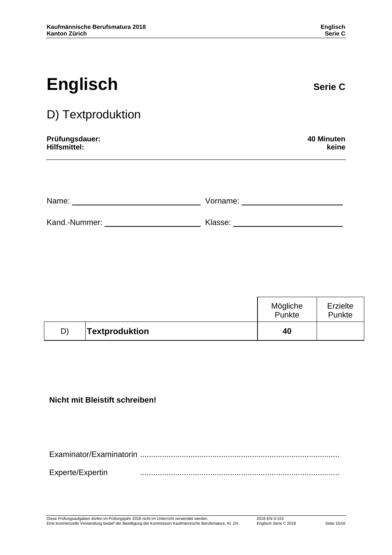| <b>Englisch</b>   | <b>Serie C</b> |
|-------------------|----------------|
| D) Textproduktion |                |

| Prüfungsdauer:      | 40 Minuten |
|---------------------|------------|
| <b>Hilfsmittel:</b> | keine      |

| Name:         | Vorname: |
|---------------|----------|
| Kand.-Nummer: | Klasse:  |

|    |                 | Mögliche<br>Punkte | Erzielte<br>Punkte |
|----|-----------------|--------------------|--------------------|
| D) | 'Textproduktion | 40                 |                    |

**Nicht mit Bleistift schreiben!**

Examinator/Examinatorin ........................................................................................... Experte/Expertin ...........................................................................................